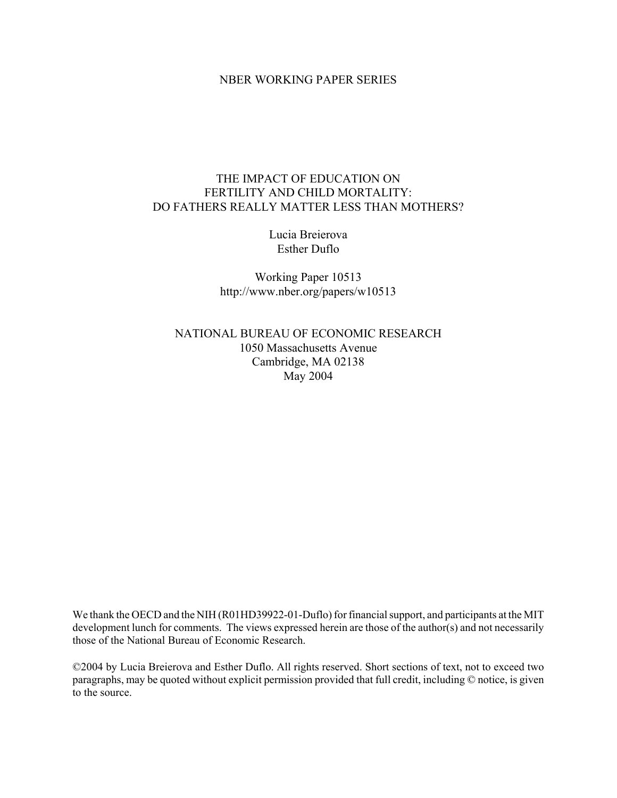#### NBER WORKING PAPER SERIES

### THE IMPACT OF EDUCATION ON FERTILITY AND CHILD MORTALITY: DO FATHERS REALLY MATTER LESS THAN MOTHERS?

Lucia Breierova Esther Duflo

Working Paper 10513 http://www.nber.org/papers/w10513

NATIONAL BUREAU OF ECONOMIC RESEARCH 1050 Massachusetts Avenue Cambridge, MA 02138 May 2004

We thank the OECD and the NIH (R01HD39922-01-Duflo) for financial support, and participants at the MIT development lunch for comments. The views expressed herein are those of the author(s) and not necessarily those of the National Bureau of Economic Research.

©2004 by Lucia Breierova and Esther Duflo. All rights reserved. Short sections of text, not to exceed two paragraphs, may be quoted without explicit permission provided that full credit, including © notice, is given to the source.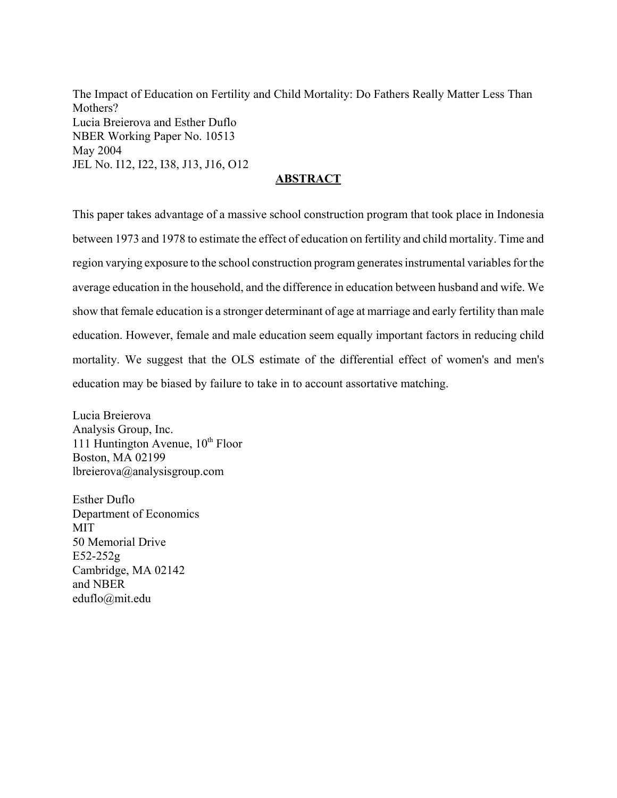The Impact of Education on Fertility and Child Mortality: Do Fathers Really Matter Less Than Mothers? Lucia Breierova and Esther Duflo NBER Working Paper No. 10513 May 2004 JEL No. I12, I22, I38, J13, J16, O12

### **ABSTRACT**

This paper takes advantage of a massive school construction program that took place in Indonesia between 1973 and 1978 to estimate the effect of education on fertility and child mortality. Time and region varying exposure to the school construction program generates instrumental variables for the average education in the household, and the difference in education between husband and wife. We show that female education is a stronger determinant of age at marriage and early fertility than male education. However, female and male education seem equally important factors in reducing child mortality. We suggest that the OLS estimate of the differential effect of women's and men's education may be biased by failure to take in to account assortative matching.

Lucia Breierova Analysis Group, Inc. 111 Huntington Avenue,  $10^{th}$  Floor Boston, MA 02199 lbreierova@analysisgroup.com

Esther Duflo Department of Economics **MIT** 50 Memorial Drive E52-252g Cambridge, MA 02142 and NBER eduflo@mit.edu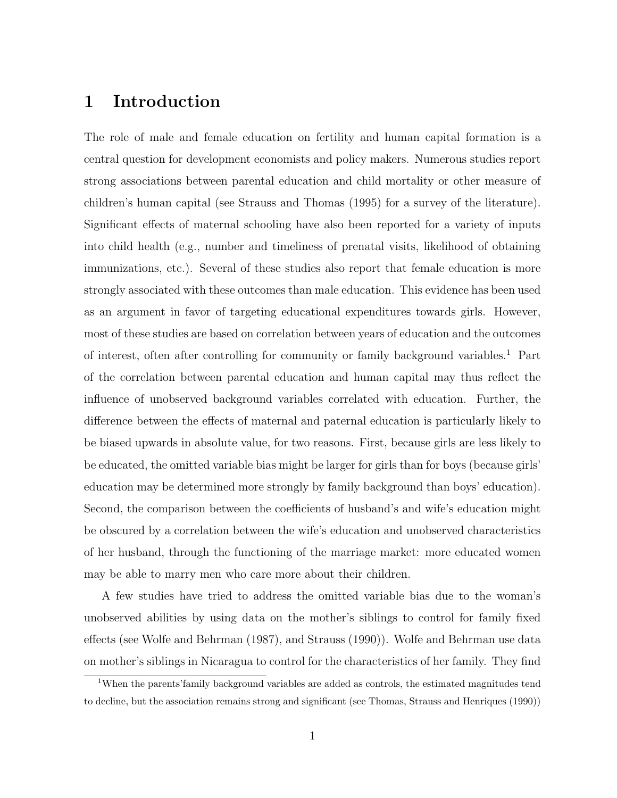# 1 Introduction

The role of male and female education on fertility and human capital formation is a central question for development economists and policy makers. Numerous studies report strong associations between parental education and child mortality or other measure of children's human capital (see Strauss and Thomas (1995) for a survey of the literature). Significant effects of maternal schooling have also been reported for a variety of inputs into child health (e.g., number and timeliness of prenatal visits, likelihood of obtaining immunizations, etc.). Several of these studies also report that female education is more strongly associated with these outcomes than male education. This evidence has been used as an argument in favor of targeting educational expenditures towards girls. However, most of these studies are based on correlation between years of education and the outcomes of interest, often after controlling for community or family background variables.<sup>1</sup> Part of the correlation between parental education and human capital may thus reflect the influence of unobserved background variables correlated with education. Further, the difference between the effects of maternal and paternal education is particularly likely to be biased upwards in absolute value, for two reasons. First, because girls are less likely to be educated, the omitted variable bias might be larger for girls than for boys (because girls' education may be determined more strongly by family background than boys' education). Second, the comparison between the coefficients of husband's and wife's education might be obscured by a correlation between the wife's education and unobserved characteristics of her husband, through the functioning of the marriage market: more educated women may be able to marry men who care more about their children.

A few studies have tried to address the omitted variable bias due to the woman's unobserved abilities by using data on the mother's siblings to control for family fixed effects (see Wolfe and Behrman (1987), and Strauss (1990)). Wolfe and Behrman use data on mother's siblings in Nicaragua to control for the characteristics of her family. They find

<sup>1</sup>When the parents'family background variables are added as controls, the estimated magnitudes tend to decline, but the association remains strong and significant (see Thomas, Strauss and Henriques (1990))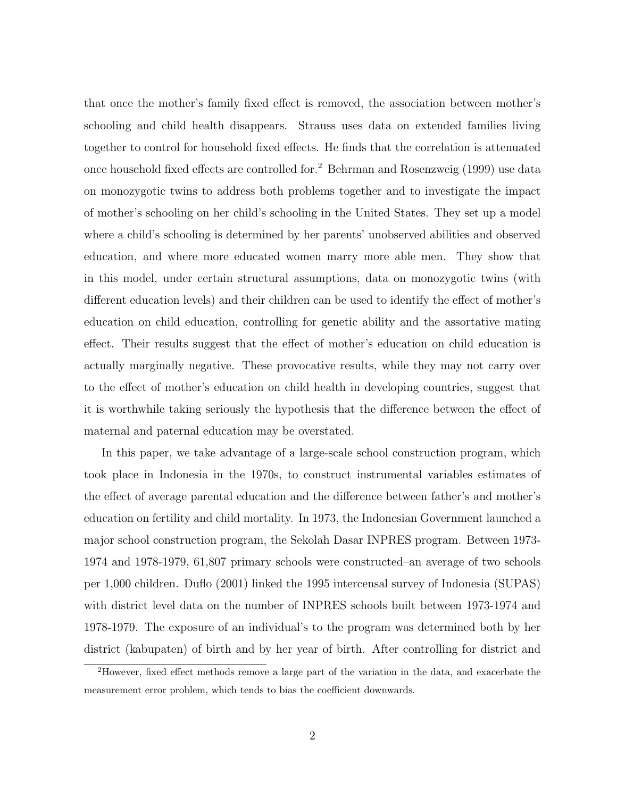that once the mother's family fixed effect is removed, the association between mother's schooling and child health disappears. Strauss uses data on extended families living together to control for household fixed effects. He finds that the correlation is attenuated once household fixed effects are controlled for.<sup>2</sup> Behrman and Rosenzweig (1999) use data on monozygotic twins to address both problems together and to investigate the impact of mother's schooling on her child's schooling in the United States. They set up a model where a child's schooling is determined by her parents' unobserved abilities and observed education, and where more educated women marry more able men. They show that in this model, under certain structural assumptions, data on monozygotic twins (with different education levels) and their children can be used to identify the effect of mother's education on child education, controlling for genetic ability and the assortative mating effect. Their results suggest that the effect of mother's education on child education is actually marginally negative. These provocative results, while they may not carry over to the effect of mother's education on child health in developing countries, suggest that it is worthwhile taking seriously the hypothesis that the difference between the effect of maternal and paternal education may be overstated.

In this paper, we take advantage of a large-scale school construction program, which took place in Indonesia in the 1970s, to construct instrumental variables estimates of the effect of average parental education and the difference between father's and mother's education on fertility and child mortality. In 1973, the Indonesian Government launched a major school construction program, the Sekolah Dasar INPRES program. Between 1973- 1974 and 1978-1979, 61,807 primary schools were constructed–an average of two schools per 1,000 children. Duflo (2001) linked the 1995 intercensal survey of Indonesia (SUPAS) with district level data on the number of INPRES schools built between 1973-1974 and 1978-1979. The exposure of an individual's to the program was determined both by her district (kabupaten) of birth and by her year of birth. After controlling for district and

<sup>2</sup>However, fixed effect methods remove a large part of the variation in the data, and exacerbate the measurement error problem, which tends to bias the coefficient downwards.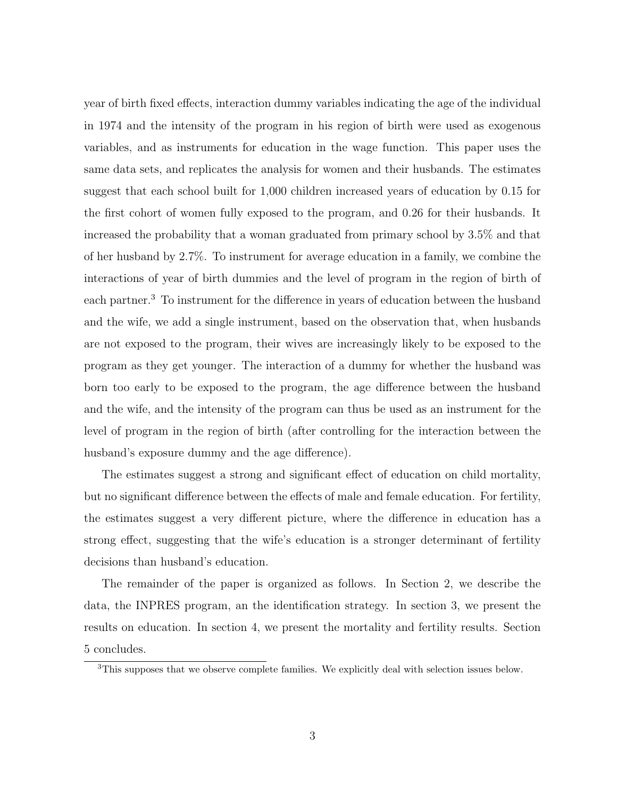year of birth fixed effects, interaction dummy variables indicating the age of the individual in 1974 and the intensity of the program in his region of birth were used as exogenous variables, and as instruments for education in the wage function. This paper uses the same data sets, and replicates the analysis for women and their husbands. The estimates suggest that each school built for 1,000 children increased years of education by 0.15 for the first cohort of women fully exposed to the program, and 0.26 for their husbands. It increased the probability that a woman graduated from primary school by 3.5% and that of her husband by 2.7%. To instrument for average education in a family, we combine the interactions of year of birth dummies and the level of program in the region of birth of each partner.<sup>3</sup> To instrument for the difference in years of education between the husband and the wife, we add a single instrument, based on the observation that, when husbands are not exposed to the program, their wives are increasingly likely to be exposed to the program as they get younger. The interaction of a dummy for whether the husband was born too early to be exposed to the program, the age difference between the husband and the wife, and the intensity of the program can thus be used as an instrument for the level of program in the region of birth (after controlling for the interaction between the husband's exposure dummy and the age difference).

The estimates suggest a strong and significant effect of education on child mortality, but no significant difference between the effects of male and female education. For fertility, the estimates suggest a very different picture, where the difference in education has a strong effect, suggesting that the wife's education is a stronger determinant of fertility decisions than husband's education.

The remainder of the paper is organized as follows. In Section 2, we describe the data, the INPRES program, an the identification strategy. In section 3, we present the results on education. In section 4, we present the mortality and fertility results. Section 5 concludes.

<sup>&</sup>lt;sup>3</sup>This supposes that we observe complete families. We explicitly deal with selection issues below.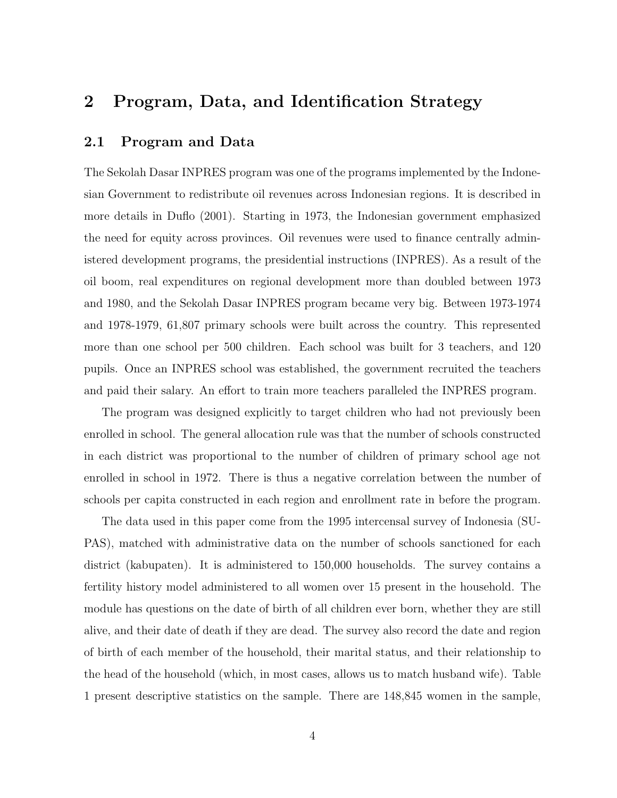# 2 Program, Data, and Identification Strategy

#### 2.1 Program and Data

The Sekolah Dasar INPRES program was one of the programs implemented by the Indonesian Government to redistribute oil revenues across Indonesian regions. It is described in more details in Duflo (2001). Starting in 1973, the Indonesian government emphasized the need for equity across provinces. Oil revenues were used to finance centrally administered development programs, the presidential instructions (INPRES). As a result of the oil boom, real expenditures on regional development more than doubled between 1973 and 1980, and the Sekolah Dasar INPRES program became very big. Between 1973-1974 and 1978-1979, 61,807 primary schools were built across the country. This represented more than one school per 500 children. Each school was built for 3 teachers, and 120 pupils. Once an INPRES school was established, the government recruited the teachers and paid their salary. An effort to train more teachers paralleled the INPRES program.

The program was designed explicitly to target children who had not previously been enrolled in school. The general allocation rule was that the number of schools constructed in each district was proportional to the number of children of primary school age not enrolled in school in 1972. There is thus a negative correlation between the number of schools per capita constructed in each region and enrollment rate in before the program.

The data used in this paper come from the 1995 intercensal survey of Indonesia (SU-PAS), matched with administrative data on the number of schools sanctioned for each district (kabupaten). It is administered to 150,000 households. The survey contains a fertility history model administered to all women over 15 present in the household. The module has questions on the date of birth of all children ever born, whether they are still alive, and their date of death if they are dead. The survey also record the date and region of birth of each member of the household, their marital status, and their relationship to the head of the household (which, in most cases, allows us to match husband wife). Table 1 present descriptive statistics on the sample. There are 148,845 women in the sample,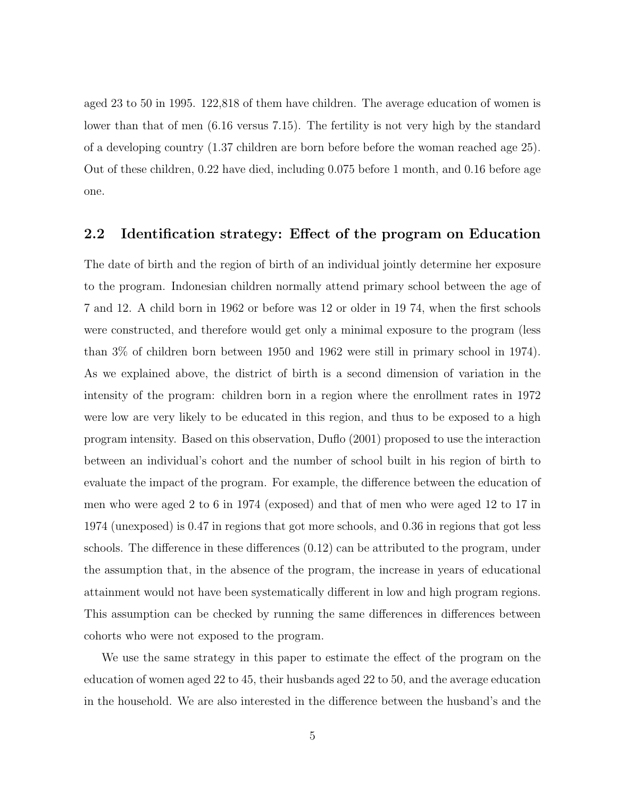aged 23 to 50 in 1995. 122,818 of them have children. The average education of women is lower than that of men (6.16 versus 7.15). The fertility is not very high by the standard of a developing country (1.37 children are born before before the woman reached age 25). Out of these children, 0.22 have died, including 0.075 before 1 month, and 0.16 before age one.

### 2.2 Identification strategy: Effect of the program on Education

The date of birth and the region of birth of an individual jointly determine her exposure to the program. Indonesian children normally attend primary school between the age of 7 and 12. A child born in 1962 or before was 12 or older in 19 74, when the first schools were constructed, and therefore would get only a minimal exposure to the program (less than 3% of children born between 1950 and 1962 were still in primary school in 1974). As we explained above, the district of birth is a second dimension of variation in the intensity of the program: children born in a region where the enrollment rates in 1972 were low are very likely to be educated in this region, and thus to be exposed to a high program intensity. Based on this observation, Duflo (2001) proposed to use the interaction between an individual's cohort and the number of school built in his region of birth to evaluate the impact of the program. For example, the difference between the education of men who were aged 2 to 6 in 1974 (exposed) and that of men who were aged 12 to 17 in 1974 (unexposed) is 0.47 in regions that got more schools, and 0.36 in regions that got less schools. The difference in these differences (0.12) can be attributed to the program, under the assumption that, in the absence of the program, the increase in years of educational attainment would not have been systematically different in low and high program regions. This assumption can be checked by running the same differences in differences between cohorts who were not exposed to the program.

We use the same strategy in this paper to estimate the effect of the program on the education of women aged 22 to 45, their husbands aged 22 to 50, and the average education in the household. We are also interested in the difference between the husband's and the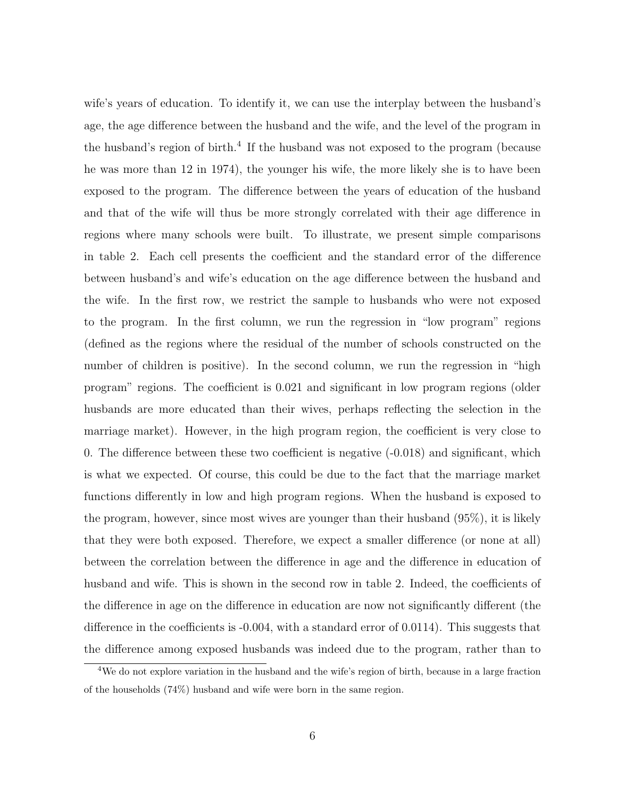wife's years of education. To identify it, we can use the interplay between the husband's age, the age difference between the husband and the wife, and the level of the program in the husband's region of birth.<sup>4</sup> If the husband was not exposed to the program (because he was more than 12 in 1974), the younger his wife, the more likely she is to have been exposed to the program. The difference between the years of education of the husband and that of the wife will thus be more strongly correlated with their age difference in regions where many schools were built. To illustrate, we present simple comparisons in table 2. Each cell presents the coefficient and the standard error of the difference between husband's and wife's education on the age difference between the husband and the wife. In the first row, we restrict the sample to husbands who were not exposed to the program. In the first column, we run the regression in "low program" regions (defined as the regions where the residual of the number of schools constructed on the number of children is positive). In the second column, we run the regression in "high program" regions. The coefficient is 0.021 and significant in low program regions (older husbands are more educated than their wives, perhaps reflecting the selection in the marriage market). However, in the high program region, the coefficient is very close to 0. The difference between these two coefficient is negative (-0.018) and significant, which is what we expected. Of course, this could be due to the fact that the marriage market functions differently in low and high program regions. When the husband is exposed to the program, however, since most wives are younger than their husband (95%), it is likely that they were both exposed. Therefore, we expect a smaller difference (or none at all) between the correlation between the difference in age and the difference in education of husband and wife. This is shown in the second row in table 2. Indeed, the coefficients of the difference in age on the difference in education are now not significantly different (the difference in the coefficients is -0.004, with a standard error of 0.0114). This suggests that the difference among exposed husbands was indeed due to the program, rather than to

<sup>4</sup>We do not explore variation in the husband and the wife's region of birth, because in a large fraction of the households (74%) husband and wife were born in the same region.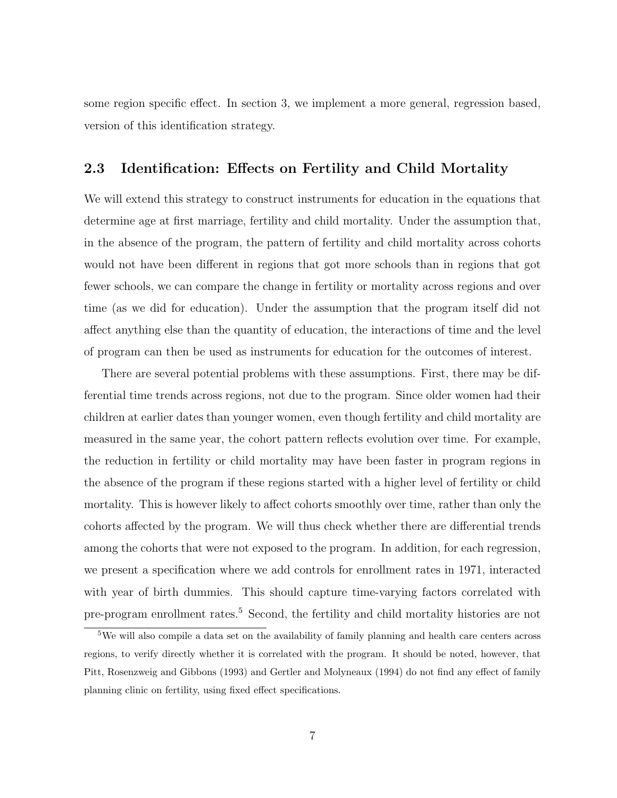some region specific effect. In section 3, we implement a more general, regression based, version of this identification strategy.

#### 2.3 Identification: Effects on Fertility and Child Mortality

We will extend this strategy to construct instruments for education in the equations that determine age at first marriage, fertility and child mortality. Under the assumption that, in the absence of the program, the pattern of fertility and child mortality across cohorts would not have been different in regions that got more schools than in regions that got fewer schools, we can compare the change in fertility or mortality across regions and over time (as we did for education). Under the assumption that the program itself did not affect anything else than the quantity of education, the interactions of time and the level of program can then be used as instruments for education for the outcomes of interest.

There are several potential problems with these assumptions. First, there may be differential time trends across regions, not due to the program. Since older women had their children at earlier dates than younger women, even though fertility and child mortality are measured in the same year, the cohort pattern reflects evolution over time. For example, the reduction in fertility or child mortality may have been faster in program regions in the absence of the program if these regions started with a higher level of fertility or child mortality. This is however likely to affect cohorts smoothly over time, rather than only the cohorts affected by the program. We will thus check whether there are differential trends among the cohorts that were not exposed to the program. In addition, for each regression, we present a specification where we add controls for enrollment rates in 1971, interacted with year of birth dummies. This should capture time-varying factors correlated with pre-program enrollment rates.<sup>5</sup> Second, the fertility and child mortality histories are not

<sup>5</sup>We will also compile a data set on the availability of family planning and health care centers across regions, to verify directly whether it is correlated with the program. It should be noted, however, that Pitt, Rosenzweig and Gibbons (1993) and Gertler and Molyneaux (1994) do not find any effect of family planning clinic on fertility, using fixed effect specifications.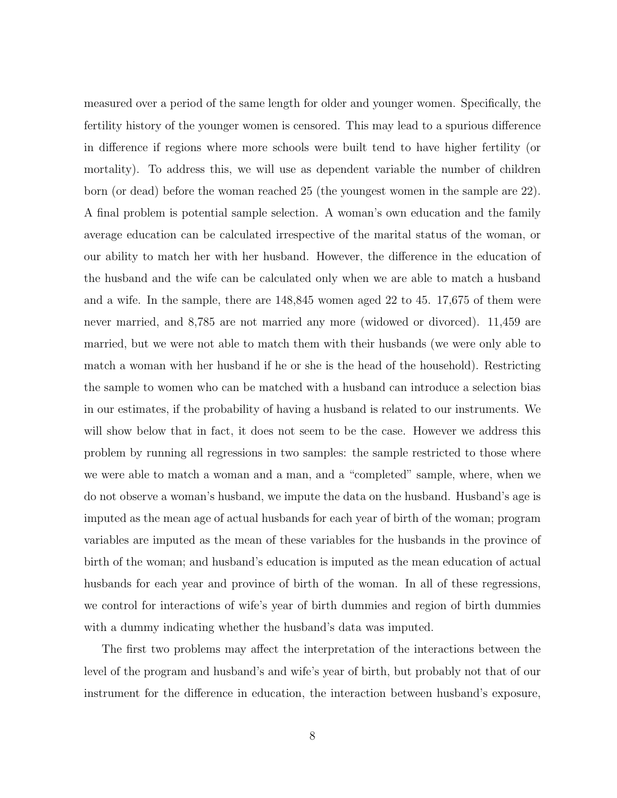measured over a period of the same length for older and younger women. Specifically, the fertility history of the younger women is censored. This may lead to a spurious difference in difference if regions where more schools were built tend to have higher fertility (or mortality). To address this, we will use as dependent variable the number of children born (or dead) before the woman reached 25 (the youngest women in the sample are 22). A final problem is potential sample selection. A woman's own education and the family average education can be calculated irrespective of the marital status of the woman, or our ability to match her with her husband. However, the difference in the education of the husband and the wife can be calculated only when we are able to match a husband and a wife. In the sample, there are 148,845 women aged 22 to 45. 17,675 of them were never married, and 8,785 are not married any more (widowed or divorced). 11,459 are married, but we were not able to match them with their husbands (we were only able to match a woman with her husband if he or she is the head of the household). Restricting the sample to women who can be matched with a husband can introduce a selection bias in our estimates, if the probability of having a husband is related to our instruments. We will show below that in fact, it does not seem to be the case. However we address this problem by running all regressions in two samples: the sample restricted to those where we were able to match a woman and a man, and a "completed" sample, where, when we do not observe a woman's husband, we impute the data on the husband. Husband's age is imputed as the mean age of actual husbands for each year of birth of the woman; program variables are imputed as the mean of these variables for the husbands in the province of birth of the woman; and husband's education is imputed as the mean education of actual husbands for each year and province of birth of the woman. In all of these regressions, we control for interactions of wife's year of birth dummies and region of birth dummies with a dummy indicating whether the husband's data was imputed.

The first two problems may affect the interpretation of the interactions between the level of the program and husband's and wife's year of birth, but probably not that of our instrument for the difference in education, the interaction between husband's exposure,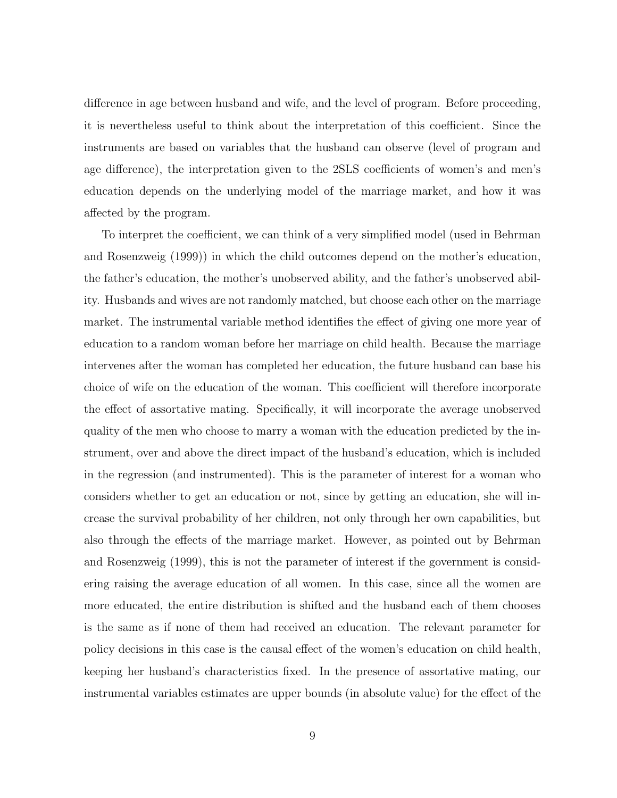difference in age between husband and wife, and the level of program. Before proceeding, it is nevertheless useful to think about the interpretation of this coefficient. Since the instruments are based on variables that the husband can observe (level of program and age difference), the interpretation given to the 2SLS coefficients of women's and men's education depends on the underlying model of the marriage market, and how it was affected by the program.

To interpret the coefficient, we can think of a very simplified model (used in Behrman and Rosenzweig (1999)) in which the child outcomes depend on the mother's education, the father's education, the mother's unobserved ability, and the father's unobserved ability. Husbands and wives are not randomly matched, but choose each other on the marriage market. The instrumental variable method identifies the effect of giving one more year of education to a random woman before her marriage on child health. Because the marriage intervenes after the woman has completed her education, the future husband can base his choice of wife on the education of the woman. This coefficient will therefore incorporate the effect of assortative mating. Specifically, it will incorporate the average unobserved quality of the men who choose to marry a woman with the education predicted by the instrument, over and above the direct impact of the husband's education, which is included in the regression (and instrumented). This is the parameter of interest for a woman who considers whether to get an education or not, since by getting an education, she will increase the survival probability of her children, not only through her own capabilities, but also through the effects of the marriage market. However, as pointed out by Behrman and Rosenzweig (1999), this is not the parameter of interest if the government is considering raising the average education of all women. In this case, since all the women are more educated, the entire distribution is shifted and the husband each of them chooses is the same as if none of them had received an education. The relevant parameter for policy decisions in this case is the causal effect of the women's education on child health, keeping her husband's characteristics fixed. In the presence of assortative mating, our instrumental variables estimates are upper bounds (in absolute value) for the effect of the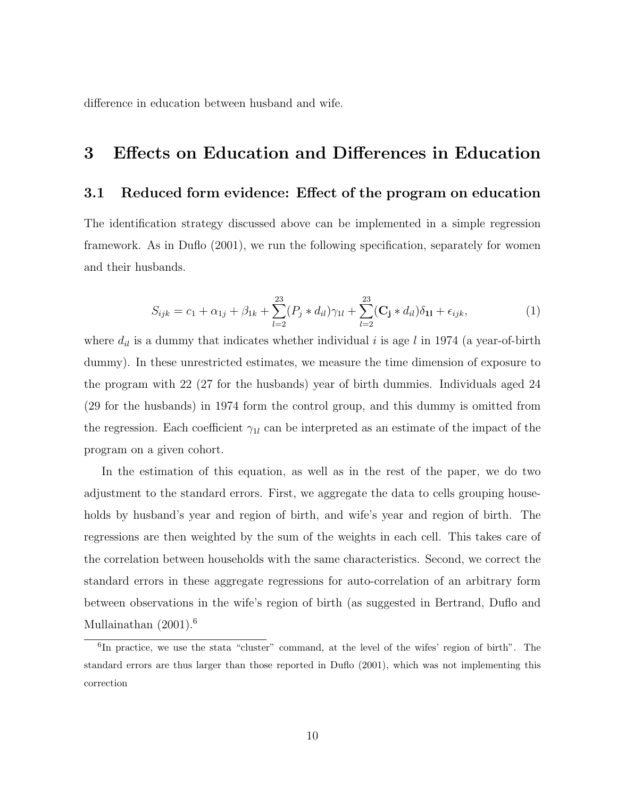difference in education between husband and wife.

# 3 Effects on Education and Differences in Education

#### 3.1 Reduced form evidence: Effect of the program on education

The identification strategy discussed above can be implemented in a simple regression framework. As in Duflo (2001), we run the following specification, separately for women and their husbands.

$$
S_{ijk} = c_1 + \alpha_{1j} + \beta_{1k} + \sum_{l=2}^{23} (P_j * d_{il}) \gamma_{1l} + \sum_{l=2}^{23} (\mathbf{C_j} * d_{il}) \delta_{11} + \epsilon_{ijk}, \tag{1}
$$

where  $d_{il}$  is a dummy that indicates whether individual i is age l in 1974 (a year-of-birth dummy). In these unrestricted estimates, we measure the time dimension of exposure to the program with 22 (27 for the husbands) year of birth dummies. Individuals aged 24 (29 for the husbands) in 1974 form the control group, and this dummy is omitted from the regression. Each coefficient  $\gamma_{1l}$  can be interpreted as an estimate of the impact of the program on a given cohort.

In the estimation of this equation, as well as in the rest of the paper, we do two adjustment to the standard errors. First, we aggregate the data to cells grouping households by husband's year and region of birth, and wife's year and region of birth. The regressions are then weighted by the sum of the weights in each cell. This takes care of the correlation between households with the same characteristics. Second, we correct the standard errors in these aggregate regressions for auto-correlation of an arbitrary form between observations in the wife's region of birth (as suggested in Bertrand, Duflo and Mullainathan (2001).<sup>6</sup>

<sup>&</sup>lt;sup>6</sup>In practice, we use the stata "cluster" command, at the level of the wifes' region of birth". The standard errors are thus larger than those reported in Duflo (2001), which was not implementing this correction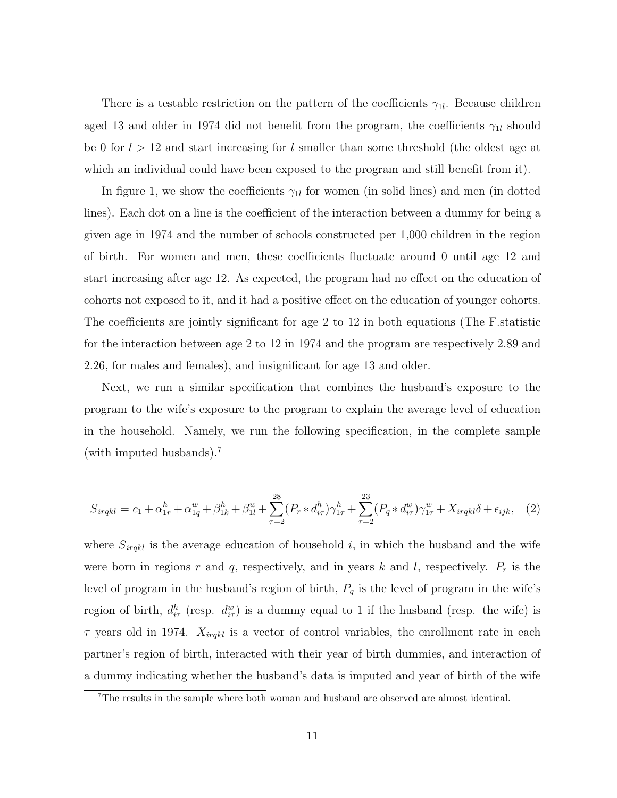There is a testable restriction on the pattern of the coefficients  $\gamma_{1l}$ . Because children aged 13 and older in 1974 did not benefit from the program, the coefficients  $\gamma_{1l}$  should be 0 for  $l > 12$  and start increasing for l smaller than some threshold (the oldest age at which an individual could have been exposed to the program and still benefit from it).

In figure 1, we show the coefficients  $\gamma_{1l}$  for women (in solid lines) and men (in dotted lines). Each dot on a line is the coefficient of the interaction between a dummy for being a given age in 1974 and the number of schools constructed per 1,000 children in the region of birth. For women and men, these coefficients fluctuate around 0 until age 12 and start increasing after age 12. As expected, the program had no effect on the education of cohorts not exposed to it, and it had a positive effect on the education of younger cohorts. The coefficients are jointly significant for age 2 to 12 in both equations (The F.statistic for the interaction between age 2 to 12 in 1974 and the program are respectively 2.89 and 2.26, for males and females), and insignificant for age 13 and older.

Next, we run a similar specification that combines the husband's exposure to the program to the wife's exposure to the program to explain the average level of education in the household. Namely, we run the following specification, in the complete sample (with imputed husbands).<sup>7</sup>

$$
\overline{S}_{irqkl} = c_1 + \alpha_{1r}^h + \alpha_{1q}^w + \beta_{1k}^h + \beta_{1l}^w + \sum_{\tau=2}^{28} (P_r * d_{i\tau}^h) \gamma_{1\tau}^h + \sum_{\tau=2}^{23} (P_q * d_{i\tau}^w) \gamma_{1\tau}^w + X_{irqkl} \delta + \epsilon_{ijk}, \quad (2)
$$

where  $S_{irqkl}$  is the average education of household i, in which the husband and the wife were born in regions r and q, respectively, and in years k and l, respectively.  $P_r$  is the level of program in the husband's region of birth,  $P_q$  is the level of program in the wife's region of birth,  $d_{i\tau}^h$  (resp.  $d_{i\tau}^w$ ) is a dummy equal to 1 if the husband (resp. the wife) is  $\tau$  years old in 1974.  $X_{irqkl}$  is a vector of control variables, the enrollment rate in each partner's region of birth, interacted with their year of birth dummies, and interaction of a dummy indicating whether the husband's data is imputed and year of birth of the wife

<sup>7</sup>The results in the sample where both woman and husband are observed are almost identical.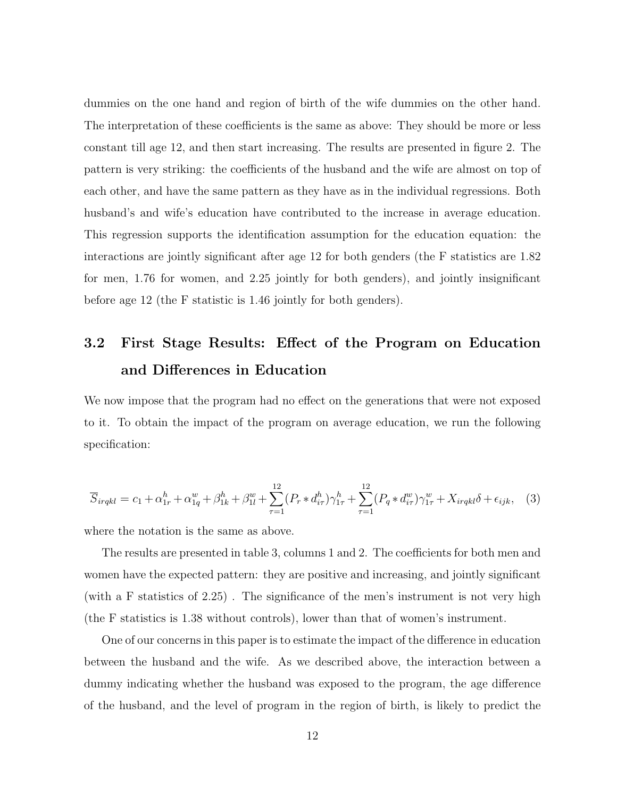dummies on the one hand and region of birth of the wife dummies on the other hand. The interpretation of these coefficients is the same as above: They should be more or less constant till age 12, and then start increasing. The results are presented in figure 2. The pattern is very striking: the coefficients of the husband and the wife are almost on top of each other, and have the same pattern as they have as in the individual regressions. Both husband's and wife's education have contributed to the increase in average education. This regression supports the identification assumption for the education equation: the interactions are jointly significant after age 12 for both genders (the F statistics are 1.82 for men, 1.76 for women, and 2.25 jointly for both genders), and jointly insignificant before age 12 (the F statistic is 1.46 jointly for both genders).

# 3.2 First Stage Results: Effect of the Program on Education and Differences in Education

We now impose that the program had no effect on the generations that were not exposed to it. To obtain the impact of the program on average education, we run the following specification:

$$
\overline{S}_{irqkl} = c_1 + \alpha_{1r}^h + \alpha_{1q}^w + \beta_{1k}^h + \beta_{1l}^w + \sum_{\tau=1}^{12} (P_r * d_{i\tau}^h) \gamma_{1\tau}^h + \sum_{\tau=1}^{12} (P_q * d_{i\tau}^w) \gamma_{1\tau}^w + X_{irqkl} \delta + \epsilon_{ijk}, \quad (3)
$$

where the notation is the same as above.

The results are presented in table 3, columns 1 and 2. The coefficients for both men and women have the expected pattern: they are positive and increasing, and jointly significant (with a F statistics of 2.25) . The significance of the men's instrument is not very high (the F statistics is 1.38 without controls), lower than that of women's instrument.

One of our concerns in this paper is to estimate the impact of the difference in education between the husband and the wife. As we described above, the interaction between a dummy indicating whether the husband was exposed to the program, the age difference of the husband, and the level of program in the region of birth, is likely to predict the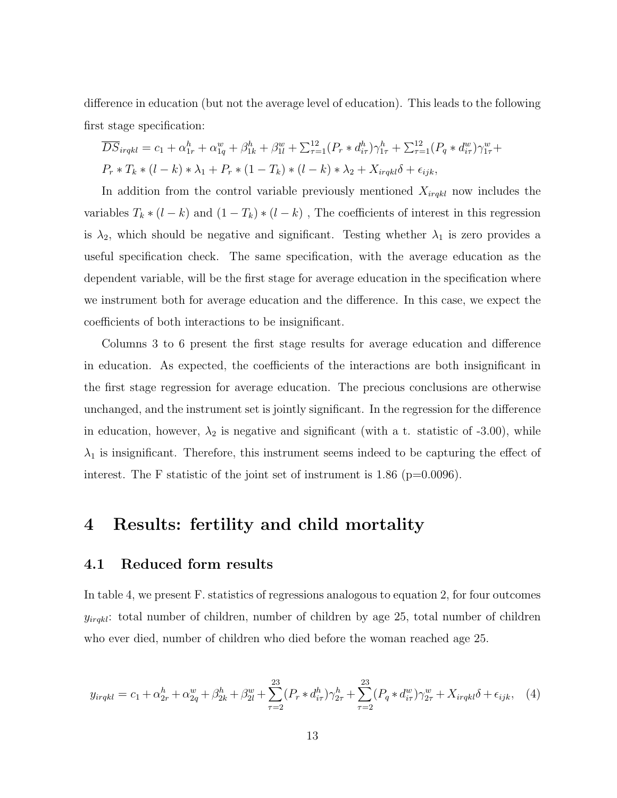difference in education (but not the average level of education). This leads to the following first stage specification:

$$
\overline{DS}_{irqkl} = c_1 + \alpha_{1r}^h + \alpha_{1q}^w + \beta_{1k}^h + \beta_{1l}^w + \sum_{\tau=1}^{12} (P_r * d_{i\tau}^h) \gamma_{1\tau}^h + \sum_{\tau=1}^{12} (P_q * d_{i\tau}^w) \gamma_{1\tau}^w + P_r * T_k * (l - k) * \lambda_1 + P_r * (1 - T_k) * (l - k) * \lambda_2 + X_{irqkl} \delta + \epsilon_{ijk},
$$

In addition from the control variable previously mentioned  $X_{irqkl}$  now includes the variables  $T_k * (l - k)$  and  $(1 - T_k) * (l - k)$ , The coefficients of interest in this regression is  $\lambda_2$ , which should be negative and significant. Testing whether  $\lambda_1$  is zero provides a useful specification check. The same specification, with the average education as the dependent variable, will be the first stage for average education in the specification where we instrument both for average education and the difference. In this case, we expect the coefficients of both interactions to be insignificant.

Columns 3 to 6 present the first stage results for average education and difference in education. As expected, the coefficients of the interactions are both insignificant in the first stage regression for average education. The precious conclusions are otherwise unchanged, and the instrument set is jointly significant. In the regression for the difference in education, however,  $\lambda_2$  is negative and significant (with a t. statistic of -3.00), while  $\lambda_1$  is insignificant. Therefore, this instrument seems indeed to be capturing the effect of interest. The F statistic of the joint set of instrument is  $1.86$  (p=0.0096).

# 4 Results: fertility and child mortality

### 4.1 Reduced form results

In table 4, we present F. statistics of regressions analogous to equation 2, for four outcomes  $y_{irqkl}$ : total number of children, number of children by age 25, total number of children who ever died, number of children who died before the woman reached age 25.

$$
y_{irqkl} = c_1 + \alpha_{2r}^h + \alpha_{2q}^w + \beta_{2k}^h + \beta_{2l}^w + \sum_{\tau=2}^{23} (P_r * d_{i\tau}^h) \gamma_{2\tau}^h + \sum_{\tau=2}^{23} (P_q * d_{i\tau}^w) \gamma_{2\tau}^w + X_{irqkl} \delta + \epsilon_{ijk}, \quad (4)
$$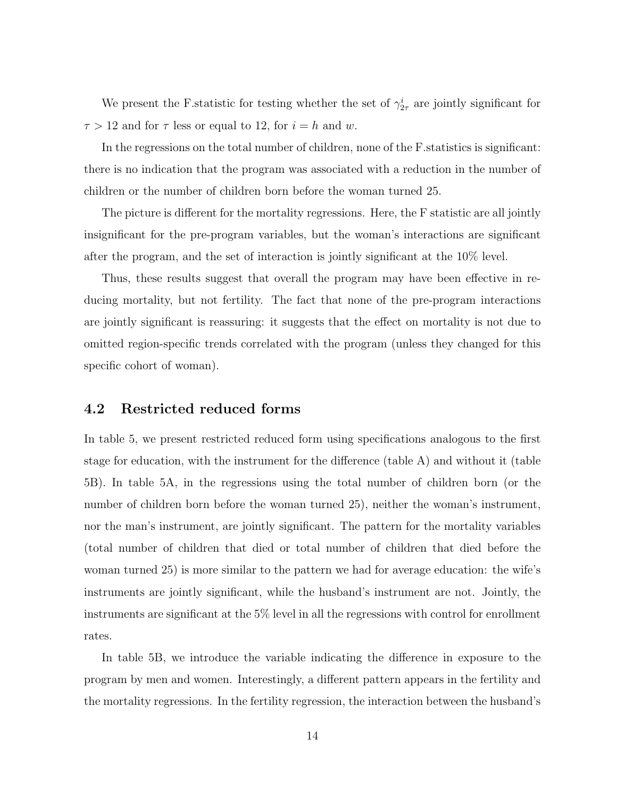We present the F statistic for testing whether the set of  $\gamma_{2\tau}^i$  are jointly significant for  $\tau > 12$  and for  $\tau$  less or equal to 12, for  $i = h$  and w.

In the regressions on the total number of children, none of the F. statistics is significant: there is no indication that the program was associated with a reduction in the number of children or the number of children born before the woman turned 25.

The picture is different for the mortality regressions. Here, the F statistic are all jointly insignificant for the pre-program variables, but the woman's interactions are significant after the program, and the set of interaction is jointly significant at the 10% level.

Thus, these results suggest that overall the program may have been effective in reducing mortality, but not fertility. The fact that none of the pre-program interactions are jointly significant is reassuring: it suggests that the effect on mortality is not due to omitted region-specific trends correlated with the program (unless they changed for this specific cohort of woman).

#### 4.2 Restricted reduced forms

In table 5, we present restricted reduced form using specifications analogous to the first stage for education, with the instrument for the difference (table A) and without it (table 5B). In table 5A, in the regressions using the total number of children born (or the number of children born before the woman turned 25), neither the woman's instrument, nor the man's instrument, are jointly significant. The pattern for the mortality variables (total number of children that died or total number of children that died before the woman turned 25) is more similar to the pattern we had for average education: the wife's instruments are jointly significant, while the husband's instrument are not. Jointly, the instruments are significant at the 5% level in all the regressions with control for enrollment rates.

In table 5B, we introduce the variable indicating the difference in exposure to the program by men and women. Interestingly, a different pattern appears in the fertility and the mortality regressions. In the fertility regression, the interaction between the husband's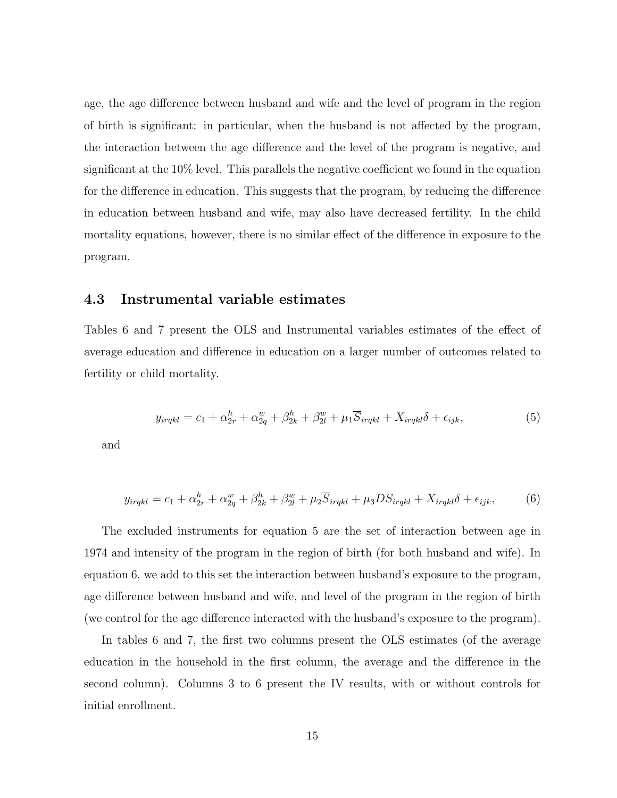age, the age difference between husband and wife and the level of program in the region of birth is significant: in particular, when the husband is not affected by the program, the interaction between the age difference and the level of the program is negative, and significant at the 10% level. This parallels the negative coefficient we found in the equation for the difference in education. This suggests that the program, by reducing the difference in education between husband and wife, may also have decreased fertility. In the child mortality equations, however, there is no similar effect of the difference in exposure to the program.

#### 4.3 Instrumental variable estimates

Tables 6 and 7 present the OLS and Instrumental variables estimates of the effect of average education and difference in education on a larger number of outcomes related to fertility or child mortality.

$$
y_{irqkl} = c_1 + \alpha_{2r}^h + \alpha_{2q}^w + \beta_{2k}^h + \beta_{2l}^w + \mu_1 \overline{S}_{irqkl} + X_{irqkl} \delta + \epsilon_{ijk},
$$
\n
$$
\tag{5}
$$

and

$$
y_{irqkl} = c_1 + \alpha_{2r}^h + \alpha_{2q}^w + \beta_{2k}^h + \beta_{2l}^w + \mu_2 \overline{S}_{irqkl} + \mu_3 DS_{irqkl} + X_{irqkl} \delta + \epsilon_{ijk},
$$
 (6)

The excluded instruments for equation 5 are the set of interaction between age in 1974 and intensity of the program in the region of birth (for both husband and wife). In equation 6, we add to this set the interaction between husband's exposure to the program, age difference between husband and wife, and level of the program in the region of birth (we control for the age difference interacted with the husband's exposure to the program).

In tables 6 and 7, the first two columns present the OLS estimates (of the average education in the household in the first column, the average and the difference in the second column). Columns 3 to 6 present the IV results, with or without controls for initial enrollment.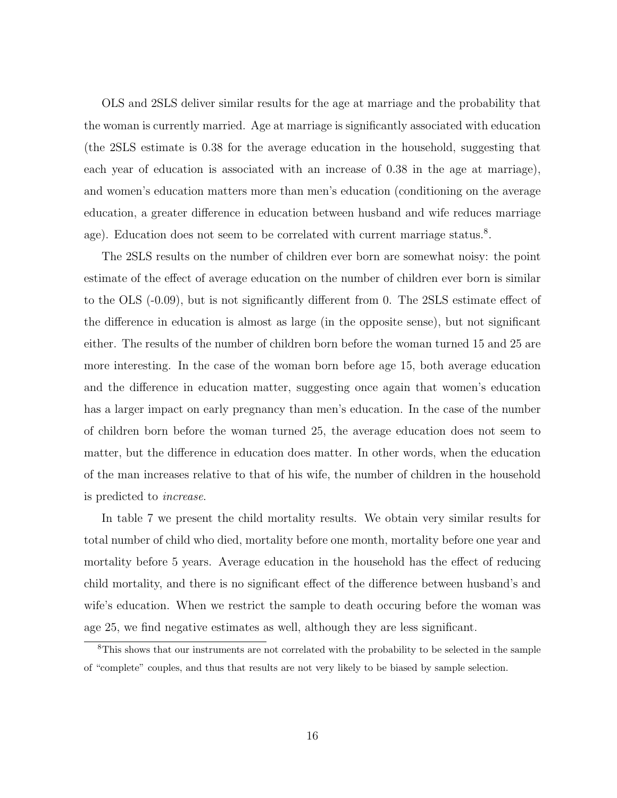OLS and 2SLS deliver similar results for the age at marriage and the probability that the woman is currently married. Age at marriage is significantly associated with education (the 2SLS estimate is 0.38 for the average education in the household, suggesting that each year of education is associated with an increase of 0.38 in the age at marriage), and women's education matters more than men's education (conditioning on the average education, a greater difference in education between husband and wife reduces marriage age). Education does not seem to be correlated with current marriage status.<sup>8</sup>.

The 2SLS results on the number of children ever born are somewhat noisy: the point estimate of the effect of average education on the number of children ever born is similar to the OLS (-0.09), but is not significantly different from 0. The 2SLS estimate effect of the difference in education is almost as large (in the opposite sense), but not significant either. The results of the number of children born before the woman turned 15 and 25 are more interesting. In the case of the woman born before age 15, both average education and the difference in education matter, suggesting once again that women's education has a larger impact on early pregnancy than men's education. In the case of the number of children born before the woman turned 25, the average education does not seem to matter, but the difference in education does matter. In other words, when the education of the man increases relative to that of his wife, the number of children in the household is predicted to increase.

In table 7 we present the child mortality results. We obtain very similar results for total number of child who died, mortality before one month, mortality before one year and mortality before 5 years. Average education in the household has the effect of reducing child mortality, and there is no significant effect of the difference between husband's and wife's education. When we restrict the sample to death occuring before the woman was age 25, we find negative estimates as well, although they are less significant.

<sup>&</sup>lt;sup>8</sup>This shows that our instruments are not correlated with the probability to be selected in the sample of "complete" couples, and thus that results are not very likely to be biased by sample selection.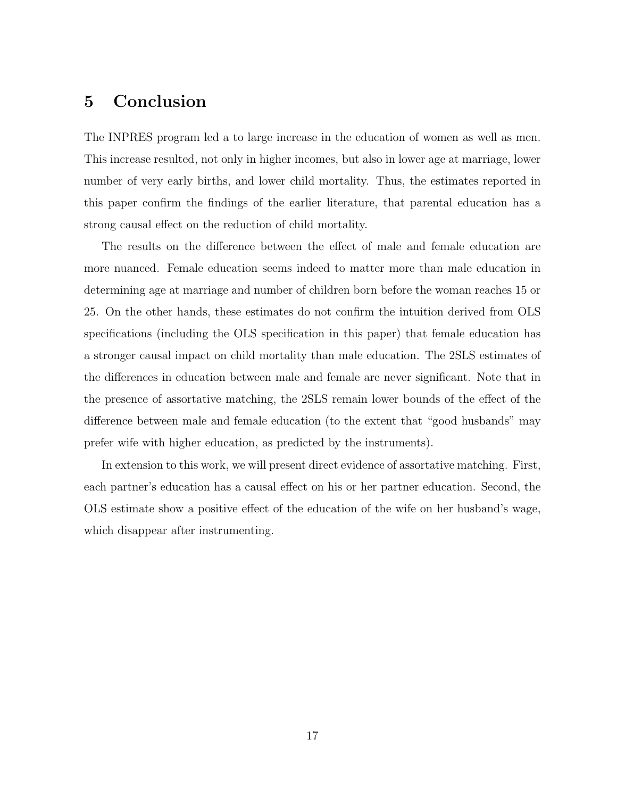# 5 Conclusion

The INPRES program led a to large increase in the education of women as well as men. This increase resulted, not only in higher incomes, but also in lower age at marriage, lower number of very early births, and lower child mortality. Thus, the estimates reported in this paper confirm the findings of the earlier literature, that parental education has a strong causal effect on the reduction of child mortality.

The results on the difference between the effect of male and female education are more nuanced. Female education seems indeed to matter more than male education in determining age at marriage and number of children born before the woman reaches 15 or 25. On the other hands, these estimates do not confirm the intuition derived from OLS specifications (including the OLS specification in this paper) that female education has a stronger causal impact on child mortality than male education. The 2SLS estimates of the differences in education between male and female are never significant. Note that in the presence of assortative matching, the 2SLS remain lower bounds of the effect of the difference between male and female education (to the extent that "good husbands" may prefer wife with higher education, as predicted by the instruments).

In extension to this work, we will present direct evidence of assortative matching. First, each partner's education has a causal effect on his or her partner education. Second, the OLS estimate show a positive effect of the education of the wife on her husband's wage, which disappear after instrumenting.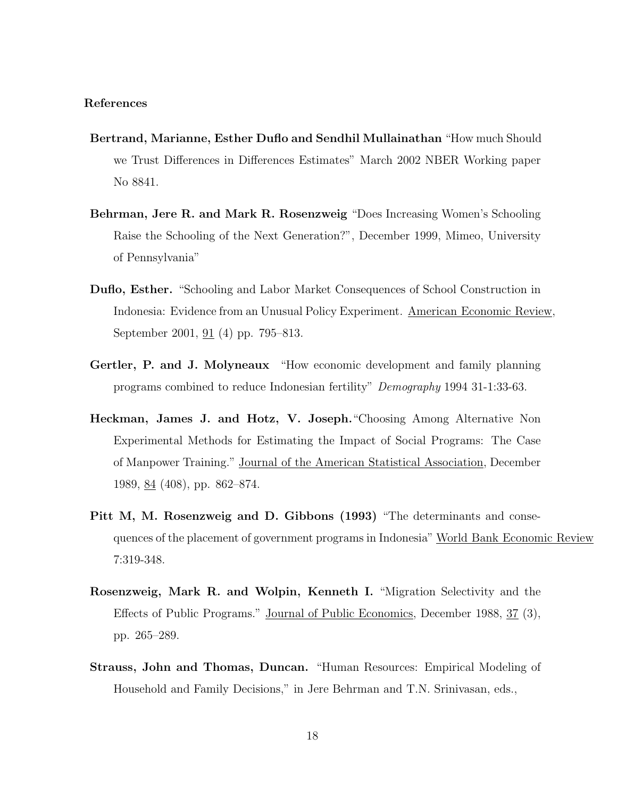#### References

- Bertrand, Marianne, Esther Duflo and Sendhil Mullainathan "How much Should we Trust Differences in Differences Estimates" March 2002 NBER Working paper No 8841.
- Behrman, Jere R. and Mark R. Rosenzweig "Does Increasing Women's Schooling Raise the Schooling of the Next Generation?", December 1999, Mimeo, University of Pennsylvania"
- Duflo, Esther. "Schooling and Labor Market Consequences of School Construction in Indonesia: Evidence from an Unusual Policy Experiment. American Economic Review, September 2001, 91 (4) pp. 795–813.
- Gertler, P. and J. Molyneaux "How economic development and family planning programs combined to reduce Indonesian fertility" Demography 1994 31-1:33-63.
- Heckman, James J. and Hotz, V. Joseph."Choosing Among Alternative Non Experimental Methods for Estimating the Impact of Social Programs: The Case of Manpower Training." Journal of the American Statistical Association, December 1989, 84 (408), pp. 862–874.
- Pitt M, M. Rosenzweig and D. Gibbons (1993) "The determinants and consequences of the placement of government programs in Indonesia" World Bank Economic Review 7:319-348.
- Rosenzweig, Mark R. and Wolpin, Kenneth I. "Migration Selectivity and the Effects of Public Programs." Journal of Public Economics, December 1988, 37 (3), pp. 265–289.
- Strauss, John and Thomas, Duncan. "Human Resources: Empirical Modeling of Household and Family Decisions," in Jere Behrman and T.N. Srinivasan, eds.,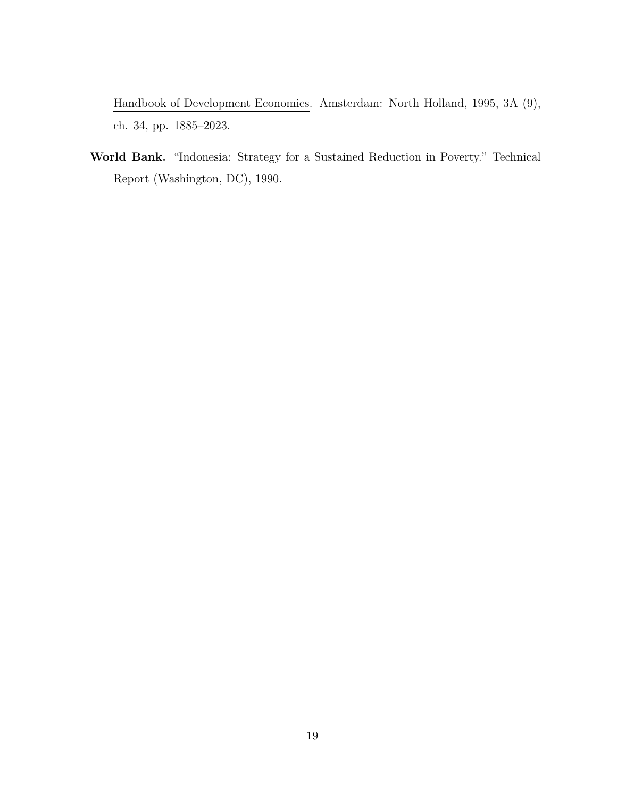Handbook of Development Economics. Amsterdam: North Holland, 1995, 3A (9), ch. 34, pp. 1885–2023.

World Bank. "Indonesia: Strategy for a Sustained Reduction in Poverty." Technical Report (Washington, DC), 1990.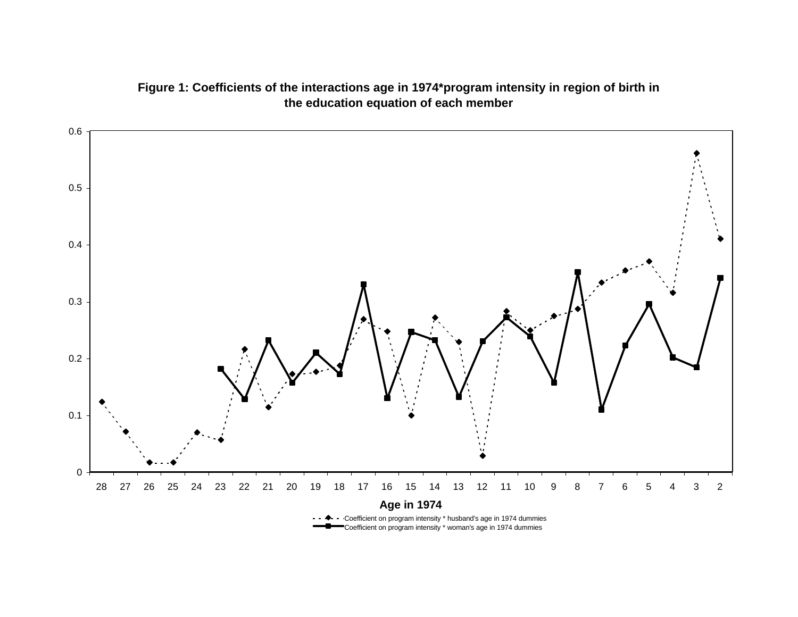

### **Figure 1: Coefficients of the interactions age in 1974\*program intensity in region of birth in the education equation of each member**

Coefficient on program intensity \* husband's age in 1974 dummies Coefficient on program intensity \* woman's age in 1974 dummies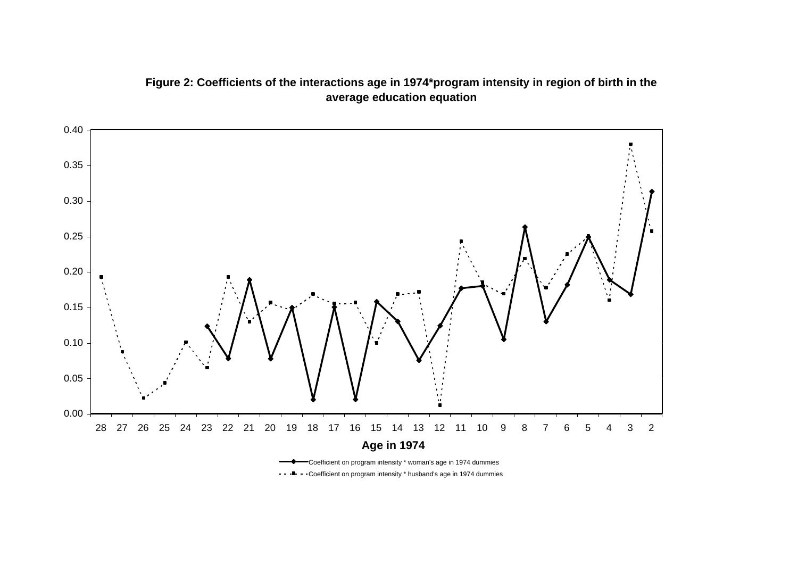### **Figure 2: Coefficients of the interactions age in 1974\*program intensity in region of birth in the average education equation**



Coefficient on program intensity \* husband's age in 1974 dummies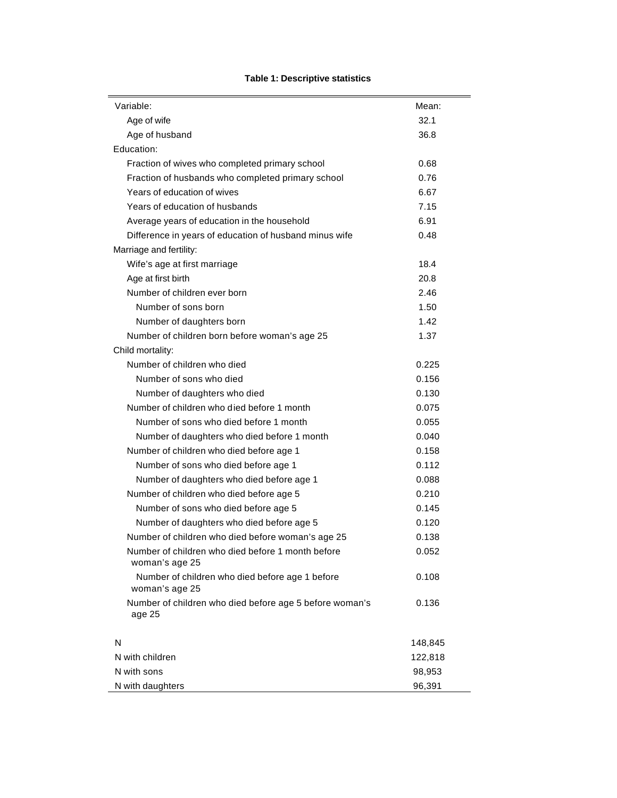| Variable:                                                           | Mean:   |
|---------------------------------------------------------------------|---------|
| Age of wife                                                         | 32.1    |
| Age of husband                                                      | 36.8    |
| Education:                                                          |         |
| Fraction of wives who completed primary school                      | 0.68    |
| Fraction of husbands who completed primary school                   | 0.76    |
| Years of education of wives                                         | 6.67    |
| Years of education of husbands                                      | 7.15    |
| Average years of education in the household                         | 6.91    |
| Difference in years of education of husband minus wife              | 0.48    |
| Marriage and fertility:                                             |         |
| Wife's age at first marriage                                        | 18.4    |
| Age at first birth                                                  | 20.8    |
| Number of children ever born                                        | 2.46    |
| Number of sons born                                                 | 1.50    |
| Number of daughters born                                            | 1.42    |
| Number of children born before woman's age 25                       | 1.37    |
| Child mortality:                                                    |         |
| Number of children who died                                         | 0.225   |
| Number of sons who died                                             | 0.156   |
| Number of daughters who died                                        | 0.130   |
| Number of children who died before 1 month                          | 0.075   |
| Number of sons who died before 1 month                              | 0.055   |
| Number of daughters who died before 1 month                         | 0.040   |
| Number of children who died before age 1                            | 0.158   |
| Number of sons who died before age 1                                | 0.112   |
| Number of daughters who died before age 1                           | 0.088   |
| Number of children who died before age 5                            | 0.210   |
| Number of sons who died before age 5                                | 0.145   |
| Number of daughters who died before age 5                           | 0.120   |
| Number of children who died before woman's age 25                   | 0.138   |
| Number of children who died before 1 month before<br>woman's age 25 | 0.052   |
| Number of children who died before age 1 before<br>woman's age 25   | 0.108   |
| Number of children who died before age 5 before woman's<br>age 25   | 0.136   |
| N                                                                   | 148,845 |
| N with children                                                     | 122,818 |
| N with sons                                                         | 98,953  |
| N with daughters                                                    | 96,391  |

#### **Table 1: Descriptive statistics**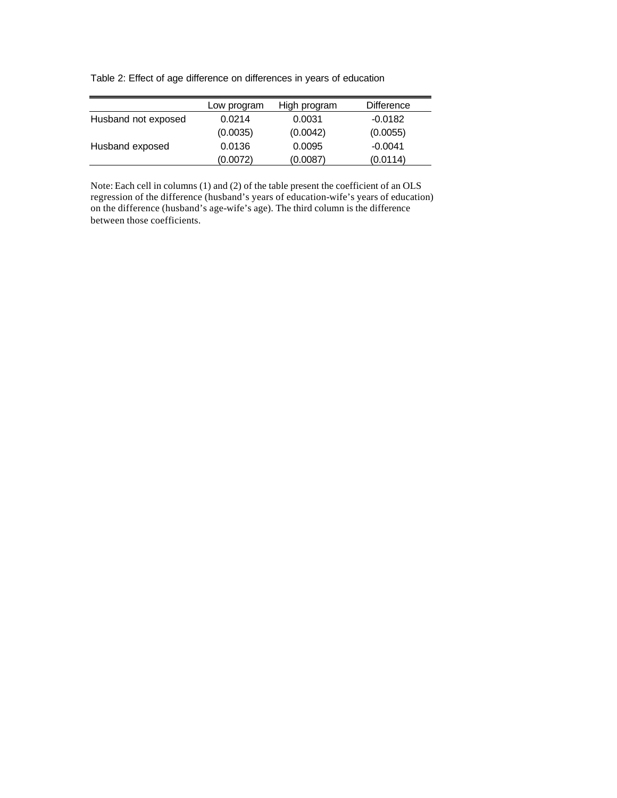Table 2: Effect of age difference on differences in years of education

|                     | Low program | High program | Difference |
|---------------------|-------------|--------------|------------|
| Husband not exposed | 0.0214      | 0.0031       | $-0.0182$  |
|                     | (0.0035)    | (0.0042)     | (0.0055)   |
| Husband exposed     | 0.0136      | 0.0095       | $-0.0041$  |
|                     | (0.0072)    | (0.0087)     | (0.0114)   |

Note: Each cell in columns (1) and (2) of the table present the coefficient of an OLS regression of the difference (husband's years of education-wife's years of education) on the difference (husband's age-wife's age). The third column is the difference between those coefficients.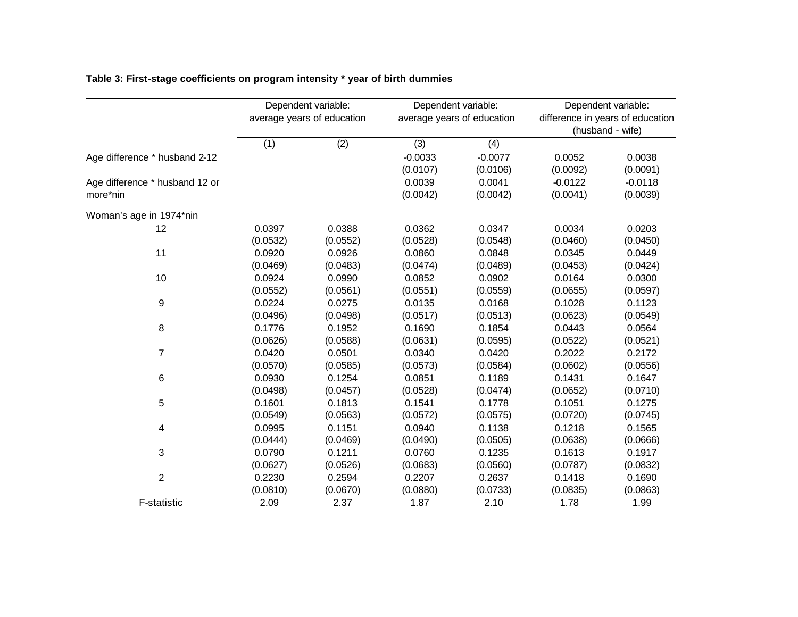|                                |          | Dependent variable:        |                  | Dependent variable:        | Dependent variable:              |           |  |
|--------------------------------|----------|----------------------------|------------------|----------------------------|----------------------------------|-----------|--|
|                                |          | average years of education |                  | average years of education | difference in years of education |           |  |
|                                |          |                            | (husband - wife) |                            |                                  |           |  |
|                                | (1)      | (2)                        | (3)              | (4)                        |                                  |           |  |
| Age difference * husband 2-12  |          |                            | $-0.0033$        | $-0.0077$                  | 0.0052                           | 0.0038    |  |
|                                |          |                            | (0.0107)         | (0.0106)                   | (0.0092)                         | (0.0091)  |  |
| Age difference * husband 12 or |          |                            | 0.0039           | 0.0041                     | $-0.0122$                        | $-0.0118$ |  |
| more*nin                       |          |                            | (0.0042)         | (0.0042)                   | (0.0041)                         | (0.0039)  |  |
| Woman's age in 1974*nin        |          |                            |                  |                            |                                  |           |  |
| 12                             | 0.0397   | 0.0388                     | 0.0362           | 0.0347                     | 0.0034                           | 0.0203    |  |
|                                | (0.0532) | (0.0552)                   | (0.0528)         | (0.0548)                   | (0.0460)                         | (0.0450)  |  |
| 11                             | 0.0920   | 0.0926                     | 0.0860           | 0.0848                     | 0.0345                           | 0.0449    |  |
|                                | (0.0469) | (0.0483)                   | (0.0474)         | (0.0489)                   | (0.0453)                         | (0.0424)  |  |
| 10                             | 0.0924   | 0.0990                     | 0.0852           | 0.0902                     | 0.0164                           | 0.0300    |  |
|                                | (0.0552) | (0.0561)                   | (0.0551)         | (0.0559)                   | (0.0655)                         | (0.0597)  |  |
| 9                              | 0.0224   | 0.0275                     | 0.0135           | 0.0168                     | 0.1028                           | 0.1123    |  |
|                                | (0.0496) | (0.0498)                   | (0.0517)         | (0.0513)                   | (0.0623)                         | (0.0549)  |  |
| 8                              | 0.1776   | 0.1952                     | 0.1690           | 0.1854                     | 0.0443                           | 0.0564    |  |
|                                | (0.0626) | (0.0588)                   | (0.0631)         | (0.0595)                   | (0.0522)                         | (0.0521)  |  |
| 7                              | 0.0420   | 0.0501                     | 0.0340           | 0.0420                     | 0.2022                           | 0.2172    |  |
|                                | (0.0570) | (0.0585)                   | (0.0573)         | (0.0584)                   | (0.0602)                         | (0.0556)  |  |
| 6                              | 0.0930   | 0.1254                     | 0.0851           | 0.1189                     | 0.1431                           | 0.1647    |  |
|                                | (0.0498) | (0.0457)                   | (0.0528)         | (0.0474)                   | (0.0652)                         | (0.0710)  |  |
| 5                              | 0.1601   | 0.1813                     | 0.1541           | 0.1778                     | 0.1051                           | 0.1275    |  |
|                                | (0.0549) | (0.0563)                   | (0.0572)         | (0.0575)                   | (0.0720)                         | (0.0745)  |  |
| 4                              | 0.0995   | 0.1151                     | 0.0940           | 0.1138                     | 0.1218                           | 0.1565    |  |
|                                | (0.0444) | (0.0469)                   | (0.0490)         | (0.0505)                   | (0.0638)                         | (0.0666)  |  |
| 3                              | 0.0790   | 0.1211                     | 0.0760           | 0.1235                     | 0.1613                           | 0.1917    |  |
|                                | (0.0627) | (0.0526)                   | (0.0683)         | (0.0560)                   | (0.0787)                         | (0.0832)  |  |
| $\mathbf{2}$                   | 0.2230   | 0.2594                     | 0.2207           | 0.2637                     | 0.1418                           | 0.1690    |  |
|                                | (0.0810) | (0.0670)                   | (0.0880)         | (0.0733)                   | (0.0835)                         | (0.0863)  |  |
| F-statistic                    | 2.09     | 2.37                       | 1.87             | 2.10                       | 1.78                             | 1.99      |  |

### **Table 3: First-stage coefficients on program intensity \* year of birth dummies**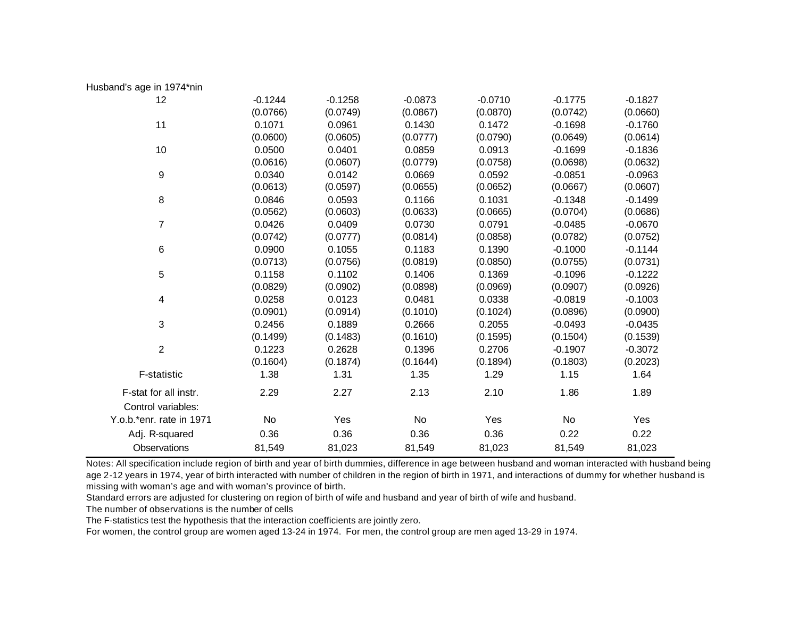| Husband's age in 1974*nin |           |           |           |           |           |           |
|---------------------------|-----------|-----------|-----------|-----------|-----------|-----------|
| 12                        | $-0.1244$ | $-0.1258$ | $-0.0873$ | $-0.0710$ | $-0.1775$ | $-0.1827$ |
|                           | (0.0766)  | (0.0749)  | (0.0867)  | (0.0870)  | (0.0742)  | (0.0660)  |
| 11                        | 0.1071    | 0.0961    | 0.1430    | 0.1472    | $-0.1698$ | $-0.1760$ |
|                           | (0.0600)  | (0.0605)  | (0.0777)  | (0.0790)  | (0.0649)  | (0.0614)  |
| 10                        | 0.0500    | 0.0401    | 0.0859    | 0.0913    | $-0.1699$ | $-0.1836$ |
|                           | (0.0616)  | (0.0607)  | (0.0779)  | (0.0758)  | (0.0698)  | (0.0632)  |
| 9                         | 0.0340    | 0.0142    | 0.0669    | 0.0592    | $-0.0851$ | $-0.0963$ |
|                           | (0.0613)  | (0.0597)  | (0.0655)  | (0.0652)  | (0.0667)  | (0.0607)  |
| 8                         | 0.0846    | 0.0593    | 0.1166    | 0.1031    | $-0.1348$ | $-0.1499$ |
|                           | (0.0562)  | (0.0603)  | (0.0633)  | (0.0665)  | (0.0704)  | (0.0686)  |
| $\overline{7}$            | 0.0426    | 0.0409    | 0.0730    | 0.0791    | $-0.0485$ | $-0.0670$ |
|                           | (0.0742)  | (0.0777)  | (0.0814)  | (0.0858)  | (0.0782)  | (0.0752)  |
| $\,6\,$                   | 0.0900    | 0.1055    | 0.1183    | 0.1390    | $-0.1000$ | $-0.1144$ |
|                           | (0.0713)  | (0.0756)  | (0.0819)  | (0.0850)  | (0.0755)  | (0.0731)  |
| 5                         | 0.1158    | 0.1102    | 0.1406    | 0.1369    | $-0.1096$ | $-0.1222$ |
|                           | (0.0829)  | (0.0902)  | (0.0898)  | (0.0969)  | (0.0907)  | (0.0926)  |
| 4                         | 0.0258    | 0.0123    | 0.0481    | 0.0338    | $-0.0819$ | $-0.1003$ |
|                           | (0.0901)  | (0.0914)  | (0.1010)  | (0.1024)  | (0.0896)  | (0.0900)  |
| 3                         | 0.2456    | 0.1889    | 0.2666    | 0.2055    | $-0.0493$ | $-0.0435$ |
|                           | (0.1499)  | (0.1483)  | (0.1610)  | (0.1595)  | (0.1504)  | (0.1539)  |
| $\overline{2}$            | 0.1223    | 0.2628    | 0.1396    | 0.2706    | $-0.1907$ | $-0.3072$ |
|                           | (0.1604)  | (0.1874)  | (0.1644)  | (0.1894)  | (0.1803)  | (0.2023)  |
| F-statistic               | 1.38      | 1.31      | 1.35      | 1.29      | 1.15      | 1.64      |
| F-stat for all instr.     | 2.29      | 2.27      | 2.13      | 2.10      | 1.86      | 1.89      |
| Control variables:        |           |           |           |           |           |           |
| Y.o.b.*enr. rate in 1971  | No        | Yes       | No        | Yes       | No        | Yes       |
| Adj. R-squared            | 0.36      | 0.36      | 0.36      | 0.36      | 0.22      | 0.22      |
| Observations              | 81,549    | 81,023    | 81,549    | 81,023    | 81,549    | 81,023    |

Notes: All specification include region of birth and year of birth dummies, difference in age between husband and woman interacted with husband being age 2-12 years in 1974, year of birth interacted with number of children in the region of birth in 1971, and interactions of dummy for whether husband is missing with woman's age and with woman's province of birth.

Standard errors are adjusted for clustering on region of birth of wife and husband and year of birth of wife and husband.

The number of observations is the number of cells

The F-statistics test the hypothesis that the interaction coefficients are jointly zero.

For women, the control group are women aged 13-24 in 1974. For men, the control group are men aged 13-29 in 1974.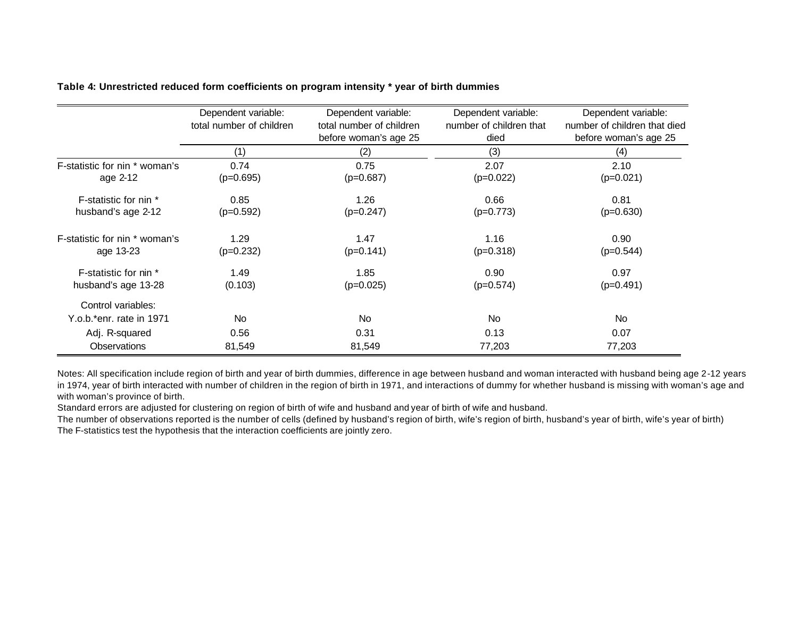|                               | Dependent variable:      | Dependent variable:      | Dependent variable:     | Dependent variable:          |
|-------------------------------|--------------------------|--------------------------|-------------------------|------------------------------|
|                               | total number of children | total number of children | number of children that | number of children that died |
|                               |                          | before woman's age 25    | died                    | before woman's age 25        |
|                               | (1)                      | (2)                      | (3)                     | (4)                          |
| F-statistic for nin * woman's | 0.74                     | 0.75                     | 2.07                    | 2.10                         |
| age 2-12                      | $(p=0.695)$              | $(p=0.687)$              | $(p=0.022)$             | $(p=0.021)$                  |
| F-statistic for nin *         | 0.85                     | 1.26                     | 0.66                    | 0.81                         |
| husband's age 2-12            | $(p=0.592)$              | $(p=0.247)$              | $(p=0.773)$             | $(p=0.630)$                  |
| F-statistic for nin * woman's | 1.29                     | 1.47                     | 1.16                    | 0.90                         |
| age 13-23                     | $(p=0.232)$              | $(p=0.141)$              | $(p=0.318)$             | $(p=0.544)$                  |
| F-statistic for nin *         | 1.49                     | 1.85                     | 0.90                    | 0.97                         |
| husband's age 13-28           | (0.103)                  | $(p=0.025)$              | $(p=0.574)$             | $(p=0.491)$                  |
| Control variables:            |                          |                          |                         |                              |
| Y.o.b.*enr. rate in 1971      | No                       | <b>No</b>                | No                      | No                           |
| Adj. R-squared                | 0.56                     | 0.31                     | 0.13                    | 0.07                         |
| <b>Observations</b>           | 81,549                   | 81,549                   | 77,203                  | 77,203                       |

#### **Table 4: Unrestricted reduced form coefficients on program intensity \* year of birth dummies**

Notes: All specification include region of birth and year of birth dummies, difference in age between husband and woman interacted with husband being age 2-12 years in 1974, year of birth interacted with number of children in the region of birth in 1971, and interactions of dummy for whether husband is missing with woman's age and with woman's province of birth.

Standard errors are adjusted for clustering on region of birth of wife and husband and year of birth of wife and husband.

The number of observations reported is the number of cells (defined by husband's region of birth, wife's region of birth, husband's year of birth, wife's year of birth) The F-statistics test the hypothesis that the interaction coefficients are jointly zero.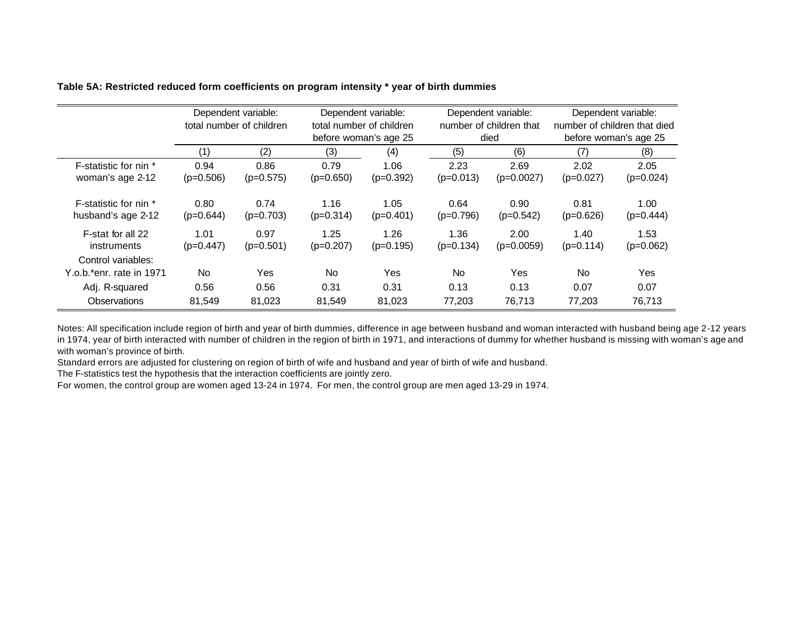|                                             | Dependent variable:<br>total number of children |                     | Dependent variable:<br>total number of children<br>before woman's age 25 |                     | Dependent variable:<br>number of children that |                      | Dependent variable:<br>number of children that died |                     |
|---------------------------------------------|-------------------------------------------------|---------------------|--------------------------------------------------------------------------|---------------------|------------------------------------------------|----------------------|-----------------------------------------------------|---------------------|
|                                             | (1)                                             | (2)                 | (3)                                                                      | (4)                 | died<br>(5)<br>(6)                             |                      | before woman's age 25<br>(7)<br>(8)                 |                     |
| F-statistic for nin *                       | 0.94                                            | 0.86                | 0.79                                                                     | 1.06                | 2.23                                           | 2.69                 | 2.02                                                | 2.05                |
| woman's age 2-12                            | $(p=0.506)$                                     | $(p=0.575)$         | $(p=0.650)$                                                              | $(p=0.392)$         | $(p=0.013)$                                    | $(p=0.0027)$         | $(p=0.027)$                                         | $(p=0.024)$         |
| F-statistic for nin *<br>husband's age 2-12 | 0.80<br>$(p=0.644)$                             | 0.74<br>$(p=0.703)$ | 1.16<br>$(p=0.314)$                                                      | 1.05<br>$(p=0.401)$ | 0.64<br>$(p=0.796)$                            | 0.90<br>$(p=0.542)$  | 0.81<br>$(p=0.626)$                                 | 1.00<br>$(p=0.444)$ |
| F-stat for all 22<br>instruments            | 1.01<br>$(p=0.447)$                             | 0.97<br>$(p=0.501)$ | 1.25<br>$(p=0.207)$                                                      | 1.26<br>$(p=0.195)$ | 1.36<br>$(p=0.134)$                            | 2.00<br>$(p=0.0059)$ | 1.40<br>$(p=0.114)$                                 | 1.53<br>$(p=0.062)$ |
| Control variables:                          |                                                 |                     |                                                                          |                     |                                                |                      |                                                     |                     |
| Y.o.b.*enr. rate in 1971                    | No.                                             | Yes                 | N <sub>o</sub>                                                           | <b>Yes</b>          | No.                                            | Yes                  | No.                                                 | <b>Yes</b>          |
| Adj. R-squared                              | 0.56                                            | 0.56                | 0.31                                                                     | 0.31                | 0.13                                           | 0.13                 | 0.07                                                | 0.07                |
| <b>Observations</b>                         | 81,549                                          | 81,023              | 81,549                                                                   | 81,023              | 77,203                                         | 76,713               | 77,203                                              | 76,713              |

#### **Table 5A: Restricted reduced form coefficients on program intensity \* year of birth dummies**

Notes: All specification include region of birth and year of birth dummies, difference in age between husband and woman interacted with husband being age 2-12 years in 1974, year of birth interacted with number of children in the region of birth in 1971, and interactions of dummy for whether husband is missing with woman's age and with woman's province of birth.

Standard errors are adjusted for clustering on region of birth of wife and husband and year of birth of wife and husband.

The F-statistics test the hypothesis that the interaction coefficients are jointly zero.

For women, the control group are women aged 13-24 in 1974. For men, the control group are men aged 13-29 in 1974.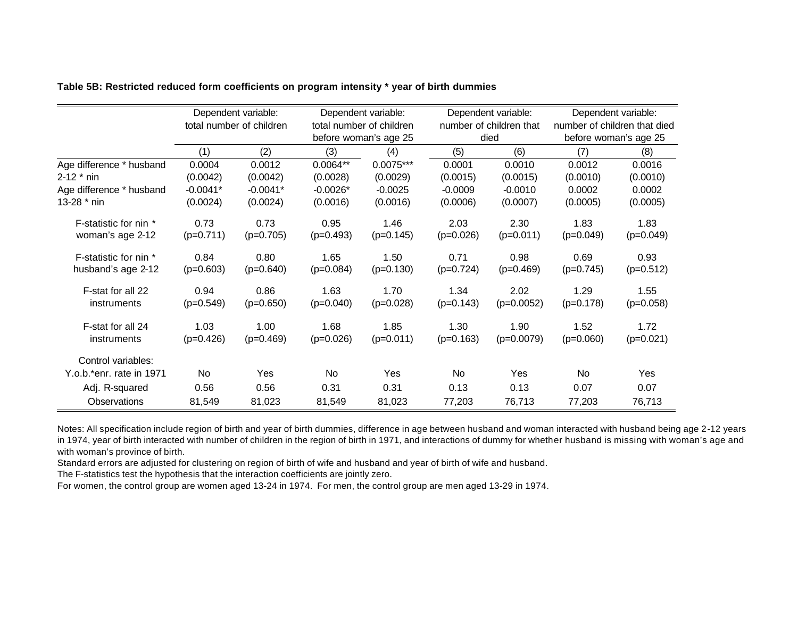|                          | Dependent variable:      |             |             | Dependent variable:      |             | Dependent variable:     |             | Dependent variable:          |  |
|--------------------------|--------------------------|-------------|-------------|--------------------------|-------------|-------------------------|-------------|------------------------------|--|
|                          | total number of children |             |             | total number of children |             | number of children that |             | number of children that died |  |
|                          |                          |             |             | before woman's age 25    |             | died                    |             | before woman's age 25        |  |
|                          | (1)                      | (2)         | (3)         | (4)                      | (5)         | (6)                     | (7)         | (8)                          |  |
| Age difference * husband | 0.0004                   | 0.0012      | $0.0064**$  | $0.0075***$              | 0.0001      | 0.0010                  | 0.0012      | 0.0016                       |  |
| $2 - 12 * \text{nin}$    | (0.0042)                 | (0.0042)    | (0.0028)    | (0.0029)                 | (0.0015)    | (0.0015)                | (0.0010)    | (0.0010)                     |  |
| Age difference * husband | $-0.0041*$               | $-0.0041*$  | $-0.0026*$  | $-0.0025$                | $-0.0009$   | $-0.0010$               | 0.0002      | 0.0002                       |  |
| 13-28 * nin              | (0.0024)                 | (0.0024)    | (0.0016)    | (0.0016)                 | (0.0006)    | (0.0007)                | (0.0005)    | (0.0005)                     |  |
| F-statistic for nin *    | 0.73                     | 0.73        | 0.95        | 1.46                     | 2.03        | 2.30                    | 1.83        | 1.83                         |  |
| woman's age 2-12         | $(p=0.711)$              | $(p=0.705)$ | $(p=0.493)$ | $(p=0.145)$              | $(p=0.026)$ | $(p=0.011)$             | $(p=0.049)$ | $(p=0.049)$                  |  |
| F-statistic for nin *    | 0.84                     | 0.80        | 1.65        | 1.50                     | 0.71        | 0.98                    | 0.69        | 0.93                         |  |
| husband's age 2-12       | $(p=0.603)$              | $(p=0.640)$ | $(p=0.084)$ | $(p=0.130)$              | $(p=0.724)$ | $(p=0.469)$             | $(p=0.745)$ | $(p=0.512)$                  |  |
| F-stat for all 22        | 0.94                     | 0.86        | 1.63        | 1.70                     | 1.34        | 2.02                    | 1.29        | 1.55                         |  |
| instruments              | $(p=0.549)$              | $(p=0.650)$ | $(p=0.040)$ | $(p=0.028)$              | $(p=0.143)$ | $(p=0.0052)$            | $(p=0.178)$ | $(p=0.058)$                  |  |
| F-stat for all 24        | 1.03                     | 1.00        | 1.68        | 1.85                     | 1.30        | 1.90                    | 1.52        | 1.72                         |  |
| instruments              | $(p=0.426)$              | $(p=0.469)$ | $(p=0.026)$ | $(p=0.011)$              | $(p=0.163)$ | $(p=0.0079)$            | $(p=0.060)$ | $(p=0.021)$                  |  |
| Control variables:       |                          |             |             |                          |             |                         |             |                              |  |
| Y.o.b.*enr. rate in 1971 | No.                      | <b>Yes</b>  | No.         | <b>Yes</b>               | No.         | <b>Yes</b>              | No.         | <b>Yes</b>                   |  |
| Adj. R-squared           | 0.56                     | 0.56        | 0.31        | 0.31                     | 0.13        | 0.13                    | 0.07        | 0.07                         |  |
| Observations             | 81,549                   | 81,023      | 81,549      | 81,023                   | 77,203      | 76,713                  | 77,203      | 76,713                       |  |

**Table 5B: Restricted reduced form coefficients on program intensity \* year of birth dummies**

Notes: All specification include region of birth and year of birth dummies, difference in age between husband and woman interacted with husband being age 2-12 years in 1974, year of birth interacted with number of children in the region of birth in 1971, and interactions of dummy for whether husband is missing with woman's age and with woman's province of birth.

Standard errors are adjusted for clustering on region of birth of wife and husband and year of birth of wife and husband.

The F-statistics test the hypothesis that the interaction coefficients are jointly zero.

For women, the control group are women aged 13-24 in 1974. For men, the control group are men aged 13-29 in 1974.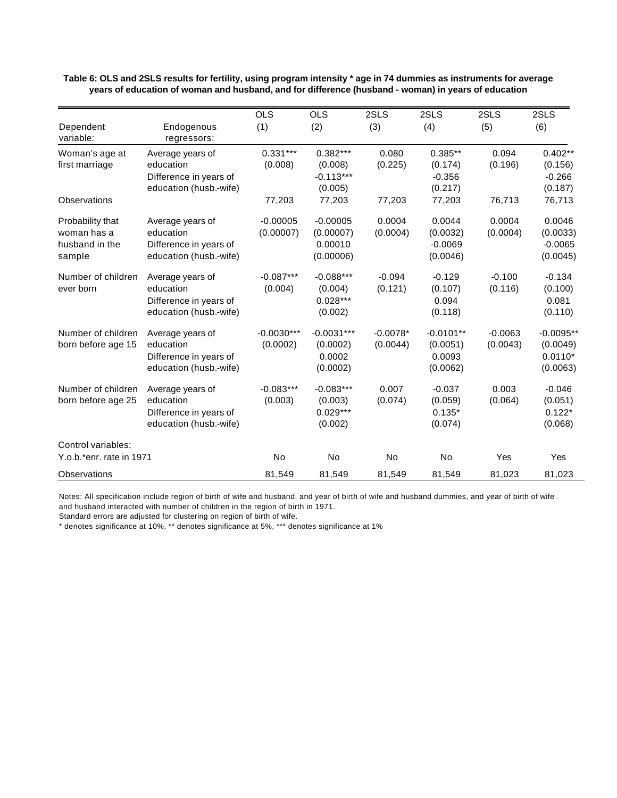|                                                             |                                                                                   | <b>OLS</b>               | <b>OLS</b>                                      | 2SLS                   | 2SLS                                          | 2SLS                  | 2SLS                                             |
|-------------------------------------------------------------|-----------------------------------------------------------------------------------|--------------------------|-------------------------------------------------|------------------------|-----------------------------------------------|-----------------------|--------------------------------------------------|
| Dependent<br>variable:                                      | Endogenous<br>regressors:                                                         | (1)                      | (2)                                             | (3)                    | (4)                                           | (5)                   | (6)                                              |
| Woman's age at<br>first marriage                            | Average years of<br>education<br>Difference in years of<br>education (husb.-wife) | $0.331***$<br>(0.008)    | $0.382***$<br>(0.008)<br>$-0.113***$<br>(0.005) | 0.080<br>(0.225)       | $0.385**$<br>(0.174)<br>$-0.356$<br>(0.217)   | 0.094<br>(0.196)      | $0.402**$<br>(0.156)<br>$-0.266$<br>(0.187)      |
| Observations                                                |                                                                                   | 77,203                   | 77,203                                          | 77,203                 | 77,203                                        | 76,713                | 76,713                                           |
| Probability that<br>woman has a<br>husband in the<br>sample | Average years of<br>education<br>Difference in years of<br>education (husb.-wife) | $-0.00005$<br>(0.00007)  | $-0.00005$<br>(0.00007)<br>0.00010<br>(0.00006) | 0.0004<br>(0.0004)     | 0.0044<br>(0.0032)<br>$-0.0069$<br>(0.0046)   | 0.0004<br>(0.0004)    | 0.0046<br>(0.0033)<br>$-0.0065$<br>(0.0045)      |
| Number of children<br>ever born                             | Average years of<br>education<br>Difference in years of<br>education (husb.-wife) | $-0.087***$<br>(0.004)   | $-0.088***$<br>(0.004)<br>$0.028***$<br>(0.002) | $-0.094$<br>(0.121)    | $-0.129$<br>(0.107)<br>0.094<br>(0.118)       | $-0.100$<br>(0.116)   | $-0.134$<br>(0.100)<br>0.081<br>(0.110)          |
| Number of children<br>born before age 15                    | Average years of<br>education<br>Difference in years of<br>education (husb.-wife) | $-0.0030***$<br>(0.0002) | $-0.0031***$<br>(0.0002)<br>0.0002<br>(0.0002)  | $-0.0078*$<br>(0.0044) | $-0.0101**$<br>(0.0051)<br>0.0093<br>(0.0062) | $-0.0063$<br>(0.0043) | $-0.0095**$<br>(0.0049)<br>$0.0110*$<br>(0.0063) |
| Number of children<br>born before age 25                    | Average years of<br>education<br>Difference in years of<br>education (husb.-wife) | $-0.083***$<br>(0.003)   | $-0.083***$<br>(0.003)<br>$0.029***$<br>(0.002) | 0.007<br>(0.074)       | $-0.037$<br>(0.059)<br>$0.135*$<br>(0.074)    | 0.003<br>(0.064)      | $-0.046$<br>(0.051)<br>$0.122*$<br>(0.068)       |
| Control variables:<br>Y.o.b.*enr. rate in 1971              |                                                                                   | <b>No</b>                | No                                              | No                     | <b>No</b>                                     | Yes                   | Yes                                              |
| Observations                                                |                                                                                   | 81,549                   | 81,549                                          | 81,549                 | 81,549                                        | 81,023                | 81,023                                           |

**Table 6: OLS and 2SLS results for fertility, using program intensity \* age in 74 dummies as instruments for average years of education of woman and husband, and for difference (husband - woman) in years of education**

Notes: All specification include region of birth of wife and husband, and year of birth of wife and husband dummies, and year of birth of wife and husband interacted with number of children in the region of birth in 1971.

Standard errors are adjusted for clustering on region of birth of wife.

\* denotes significance at 10%, \*\* denotes significance at 5%, \*\*\* denotes significance at 1%